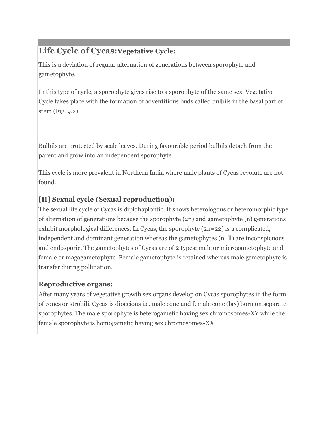# **Life Cycle of Cycas:Vegetative Cycle:**

This is a deviation of regular alternation of generations between sporophyte and gametophyte.

In this type of cycle, a sporophyte gives rise to a sporophyte of the same sex. Vegetative Cycle takes place with the formation of adventitious buds called bulbils in the basal part of stem (Fig. 9.2).

Bulbils are protected by scale leaves. During favourable period bulbils detach from the parent and grow into an independent sporophyte.

This cycle is more prevalent in Northern India where male plants of Cycas revolute are not found.

# **[II] Sexual cycle (Sexual reproduction):**

The sexual life cycle of Cycas is diplohaplontic. It shows heterologous or heteromorphic type of alternation of generations because the sporophyte (2n) and gametophyte (n) generations exhibit morphological differences. In Cycas, the sporophyte (2n=22) is a complicated, independent and dominant generation whereas the gametophytes (n=ll) are inconspicuous and endosporic. The gametophytes of Cycas are of 2 types: male or microgametophyte and female or magagametophyte. Female gametophyte is retained whereas male gametophyte is transfer during pollination.

## **Reproductive organs:**

After many years of vegetative growth sex organs develop on Cycas sporophytes in the form of cones or strobili. Cycas is dioecious i.e. male cone and female cone (lax) born on separate sporophytes. The male sporophyte is heterogametic having sex chromosomes-XY while the female sporophyte is homogametic having sex chromosomes-XX.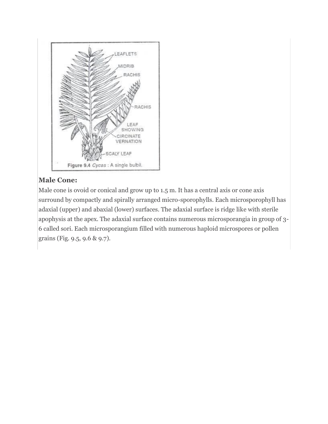

## **Male Cone:**

Male cone is ovoid or conical and grow up to 1.5 m. It has a central axis or cone axis surround by compactly and spirally arranged micro-sporophylls. Each microsporophyll has adaxial (upper) and abaxial (lower) surfaces. The adaxial surface is ridge like with sterile apophysis at the apex. The adaxial surface contains numerous microsporangia in group of 3- 6 called sori. Each microsporangium filled with numerous haploid microspores or pollen grains (Fig. 9.5, 9.6 & 9.7).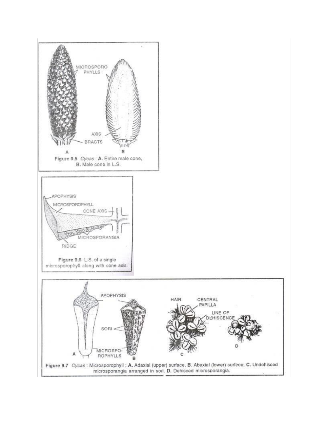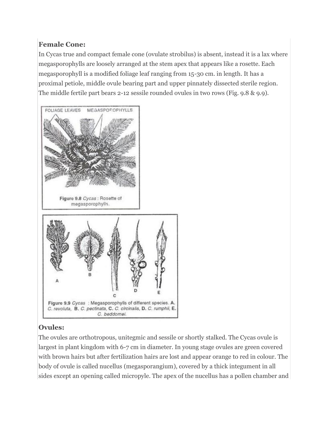# **Female Cone:**

In Cycas true and compact female cone (ovulate strobilus) is absent, instead it is a lax where megasporophylls are loosely arranged at the stem apex that appears like a rosette. Each megasporophyll is a modified foliage leaf ranging from 15-30 cm. in length. It has a proximal petiole, middle ovule bearing part and upper pinnately dissected sterile region. The middle fertile part bears 2-12 sessile rounded ovules in two rows (Fig. 9.8 & 9.9).



## **Ovules:**

The ovules are orthotropous, unitegmic and sessile or shortly stalked. The Cycas ovule is largest in plant kingdom with 6-7 cm in diameter. In young stage ovules are green covered with brown hairs but after fertilization hairs are lost and appear orange to red in colour. The body of ovule is called nucellus (megasporangium), covered by a thick integument in all sides except an opening called micropyle. The apex of the nucellus has a pollen chamber and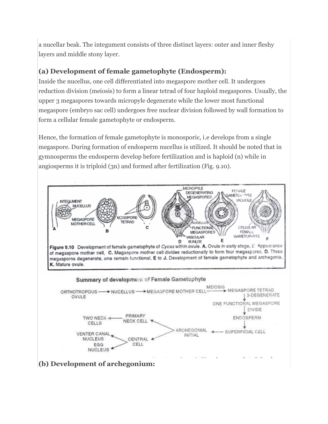a nucellar beak. The integument consists of three distinct layers: outer and inner fleshy layers and middle stony layer.

#### **(a) Development of female gametophyte (Endosperm):**

Inside the nucellus, one cell differentiated into megaspore mother cell. It undergoes reduction division (meiosis) to form a linear tetrad of four haploid megaspores. Usually, the upper 3 megaspores towards micropyle degenerate while the lower most functional megaspore (embryo sac cell) undergoes free nuclear division followed by wall formation to form a cellular female gametophyte or endosperm.

Hence, the formation of female gametophyte is monosporic, i.e develops from a single megaspore. During formation of endosperm nucellus is utilized. It should be noted that in gymnosperms the endosperm develop before fertilization and is haploid (n) while in angiosperms it is triploid (3n) and formed after fertilization (Fig. 9.10).

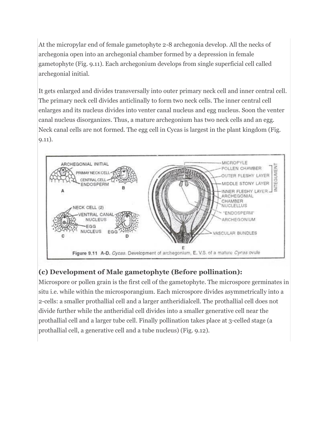At the micropylar end of female gametophyte 2-8 archegonia develop. All the necks of archegonia open into an archegonial chamber formed by a depression in female gametophyte (Fig. 9.11). Each archegonium develops from single superficial cell called archegonial initial.

It gets enlarged and divides transversally into outer primary neck cell and inner central cell. The primary neck cell divides anticlinally to form two neck cells. The inner central cell enlarges and its nucleus divides into venter canal nucleus and egg nucleus. Soon the venter canal nucleus disorganizes. Thus, a mature archegonium has two neck cells and an egg. Neck canal cells are not formed. The egg cell in Cycas is largest in the plant kingdom (Fig. 9.11).



# **(c) Development of Male gametophyte (Before pollination):**

Microspore or pollen grain is the first cell of the gametophyte. The microspore germinates in situ i.e. while within the microsporangium. Each microspore divides asymmetrically into a 2-cells: a smaller prothallial cell and a larger antheridialcell. The prothallial cell does not divide further while the antheridial cell divides into a smaller generative cell near the prothallial cell and a larger tube cell. Finally pollination takes place at 3-celled stage (a prothallial cell, a generative cell and a tube nucleus) (Fig. 9.12).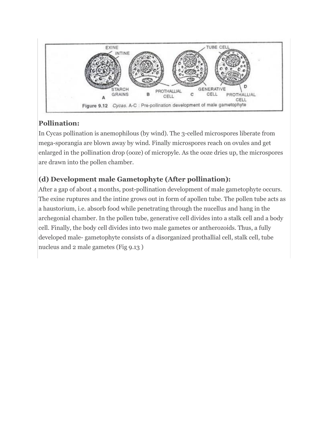

# **Pollination:**

In Cycas pollination is anemophilous (by wind). The 3-celled microspores liberate from mega-sporangia are blown away by wind. Finally microspores reach on ovules and get enlarged in the pollination drop (ooze) of micropyle. As the ooze dries up, the microspores are drawn into the pollen chamber.

# **(d) Development male Gametophyte (After pollination):**

After a gap of about 4 months, post-pollination development of male gametophyte occurs. The exine ruptures and the intine grows out in form of apollen tube. The pollen tube acts as a haustorium, i.e. absorb food while penetrating through the nucellus and hang in the archegonial chamber. In the pollen tube, generative cell divides into a stalk cell and a body cell. Finally, the body cell divides into two male gametes or antherozoids. Thus, a fully developed male- gametophyte consists of a disorganized prothallial cell, stalk cell, tube nucleus and 2 male gametes (Fig 9.13 )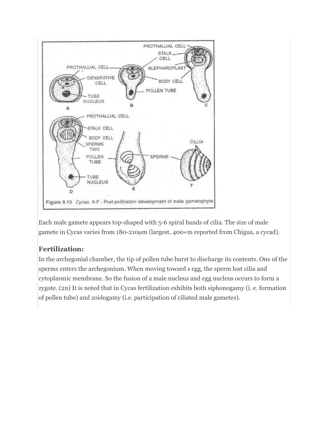

Each male gamete appears top-shaped with 5-6 spiral bands of cilia. The size of male gamete in Cycas varies from 180-210µm (largest, 400«m reported from Chigua, a cycad).

#### **Fertilization:**

In the archegonial chamber, the tip of pollen tube burst to discharge its contents. One of the sperms enters the archegonium. When moving toward s egg, the sperm lost cilia and cytoplasmic membrane. So the fusion of a male nucleus and egg nucleus occurs to form a zygote. (2n) It is noted that in Cycas fertilization exhibits both siphonogamy (i. e. formation of pollen tube) and zoidogamy (i.e. participation of ciliated male gametes).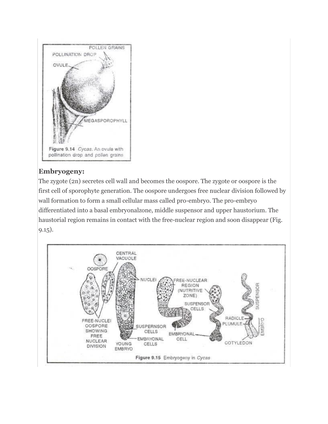

## **Embryogeny:**

The zygote (2n) secretes cell wall and becomes the oospore. The zygote or oospore is the first cell of sporophyte generation. The oospore undergoes free nuclear division followed by wall formation to form a small cellular mass called pro-embryo. The pro-embryo differentiated into a basal embryonalzone, middle suspensor and upper haustorium. The haustorial region remains in contact with the free-nuclear region and soon disappear (Fig. 9.15).

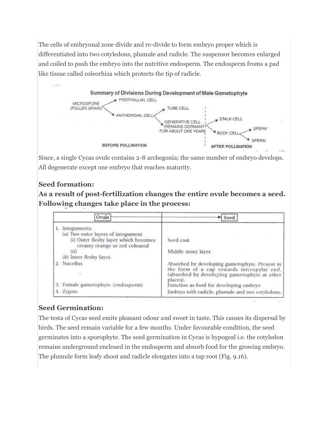The cells of embryonal zone divide and re-divide to form embryo proper which is differentiated into two cotyledons, plumule and radicle. The suspensor becomes enlarged and coiled to push the embryo into the nutritive endosperm. The endosperm froms a pad like tissue called coleorhiza which protects the tip of radicle.



Since, a single Cycas ovule contains 2-8 archegonia; the same number of embryo develops. All degenerate except one embryo that reaches maturity.

#### **Seed formation:**

**As a result of post-fertilization changes the entire ovule becomes a seed. [Following](http://cdn.biologydiscussion.com/wp-content/uploads/2014/12/clip_image028.jpg) changes take place in the process:**

| Ovule                                                                                                       | Seed                                                                                        |
|-------------------------------------------------------------------------------------------------------------|---------------------------------------------------------------------------------------------|
| Integuments.                                                                                                |                                                                                             |
| (a) Two outer layers of integument<br>(i) Outer fleshy layer which becomes<br>creamy orange or red coloured | Seed coat                                                                                   |
| (ii)<br>$(b)$ Inner fleshy layer.                                                                           | Middle stony layer                                                                          |
| <b>Nucellus</b>                                                                                             | Absorbed by developing gametophyte. Present in<br>the form of a cap towards micropylar end. |
|                                                                                                             | (absorbed by developing gametophyte at other<br>places).                                    |
| 3. Female gametophyte (endosperm)                                                                           | Function as food for developing embryo                                                      |
| 4. Zygote                                                                                                   | Embryo with radicle, plumule and two cotyledons.                                            |

## **Seed Germination:**

The testa of Cycas seed emits pleasant odour and sweet in taste. This causes its dispersal by birds. The seed remain variable for a few months. Under favourable condition, the seed germinates into a sporophyte. The seed germination in Cycas is hypogeal i.e. the cotyledon remains underground enclosed in the endosperm and absorb food for the growing embryo. The plumule form leafy shoot and radicle elongates into a tap root (Fig. 9.16).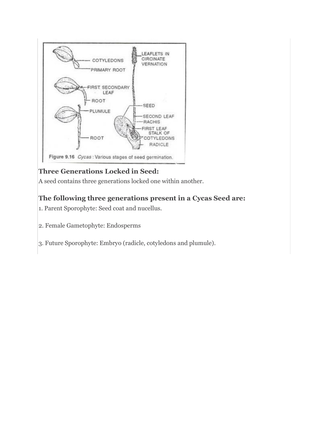

# **Three Generations Locked in Seed:**

A seed contains three generations locked one within another.

# **The following three generations present in a Cycas Seed are:**

- 1. Parent Sporophyte: Seed coat and nucellus.
- 2. Female Gametophyte: Endosperms
- 3. Future Sporophyte: Embryo (radicle, cotyledons and plumule).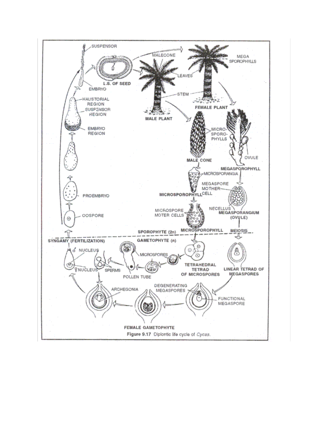